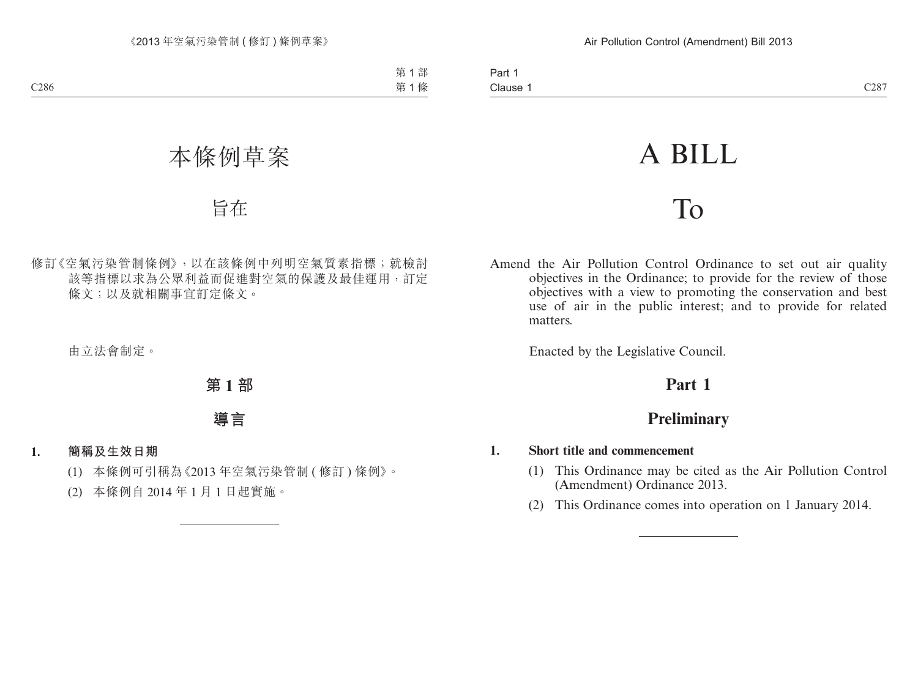# A BILL

# To

Amend the Air Pollution Control Ordinance to set out air quality objectives in the Ordinance; to provide for the review of those objectives with a view to promoting the conservation and best use of air in the public interest; and to provide for related matters.

Enacted by the Legislative Council.

# **Part 1**

# **Preliminary**

## **1. Short title and commencement**

- (1) This Ordinance may be cited as the Air Pollution Control (Amendment) Ordinance 2013.
- (2) This Ordinance comes into operation on 1 January 2014.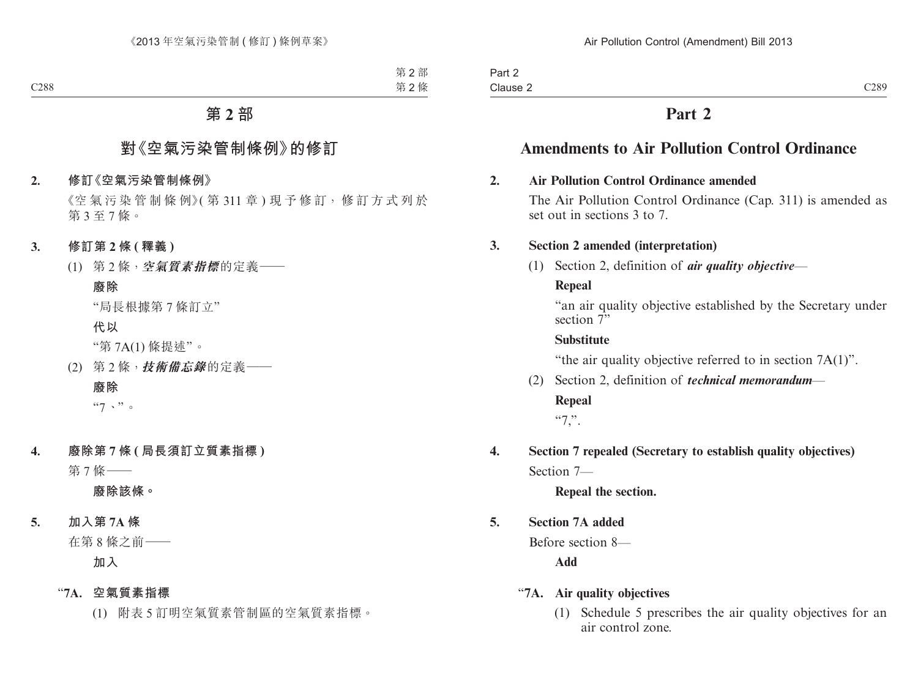# **Part 2**

# **Amendments to Air Pollution Control Ordinance**

# **2. Air Pollution Control Ordinance amended**

The Air Pollution Control Ordinance (Cap. 311) is amended as set out in sections 3 to 7.

# **3. Section 2 amended (interpretation)**

(1) Section 2, definition of *air quality objective*—

# **Repeal**

"an air quality objective established by the Secretary under section  $\bar{T}$ "

# **Substitute**

"the air quality objective referred to in section 7A(1)".

(2) Section 2, definition of *technical memorandum*—

## **Repeal**

 $~^{44}$ .

**4. Section 7 repealed (Secretary to establish quality objectives)** Section 7—

**Repeal the section.**

# **5. Section 7A added**

Before section 8—

**Add**

# "**7A. Air quality objectives**

(1) Schedule 5 prescribes the air quality objectives for an air control zone.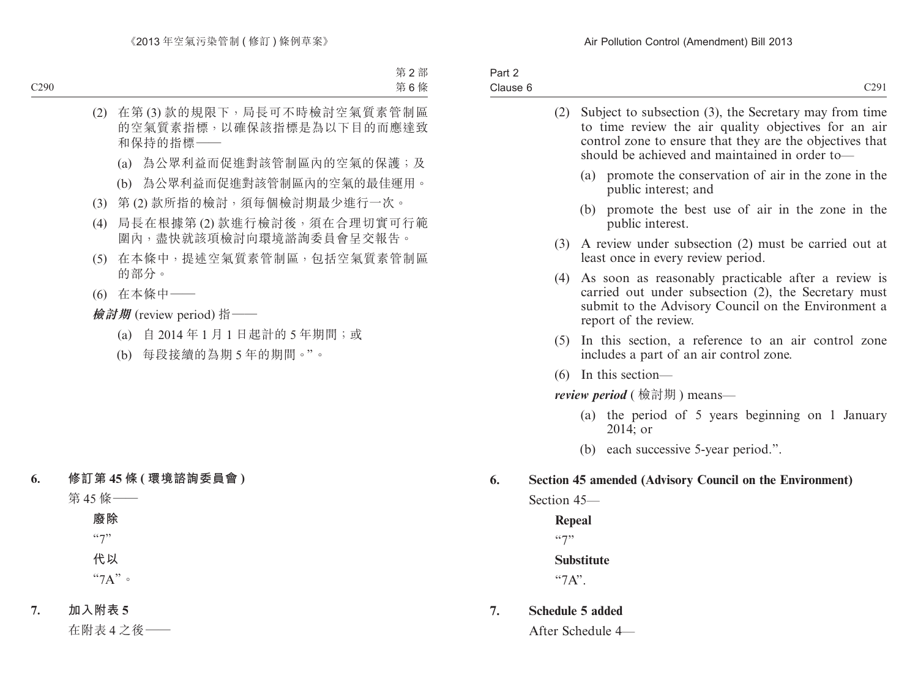| Part 2   |                                                                |                  |
|----------|----------------------------------------------------------------|------------------|
| Clause 6 |                                                                | C <sub>291</sub> |
|          | $(2)$ Subject to subsection $(2)$ the Securitany may from time |                  |

|                                   | (2)                                                                                            | Subject to subsection (3), the Secretary may from time<br>to time review the air quality objectives for an air<br>control zone to ensure that they are the objectives that<br>should be achieved and maintained in order to- |  |  |
|-----------------------------------|------------------------------------------------------------------------------------------------|------------------------------------------------------------------------------------------------------------------------------------------------------------------------------------------------------------------------------|--|--|
|                                   |                                                                                                | (a) promote the conservation of air in the zone in the<br>public interest; and                                                                                                                                               |  |  |
|                                   |                                                                                                | promote the best use of air in the zone in the<br>(b)<br>public interest.                                                                                                                                                    |  |  |
|                                   | (3) A review under subsection (2) must be carried out at<br>least once in every review period. |                                                                                                                                                                                                                              |  |  |
|                                   |                                                                                                | (4) As soon as reasonably practicable after a review is<br>carried out under subsection (2), the Secretary must<br>submit to the Advisory Council on the Environment a<br>report of the review.                              |  |  |
|                                   |                                                                                                | (5) In this section, a reference to an air control zone<br>includes a part of an air control zone.                                                                                                                           |  |  |
|                                   |                                                                                                | $(6)$ In this section—                                                                                                                                                                                                       |  |  |
| <i>review period</i> (檢討期) means— |                                                                                                |                                                                                                                                                                                                                              |  |  |
|                                   |                                                                                                | (a) the period of 5 years beginning on 1 January<br>$2014$ ; or                                                                                                                                                              |  |  |
|                                   |                                                                                                | (b) each successive 5-year period.".                                                                                                                                                                                         |  |  |
| 6.<br>Section 45–                 |                                                                                                | Section 45 amended (Advisory Council on the Environment)                                                                                                                                                                     |  |  |

**Repeal**  $\lq\lq\lq\lq\lq\lq\lq\lq\lq\lq\lq$ **Substitute** "7A".

**7. Schedule 5 added**

After Schedule 4—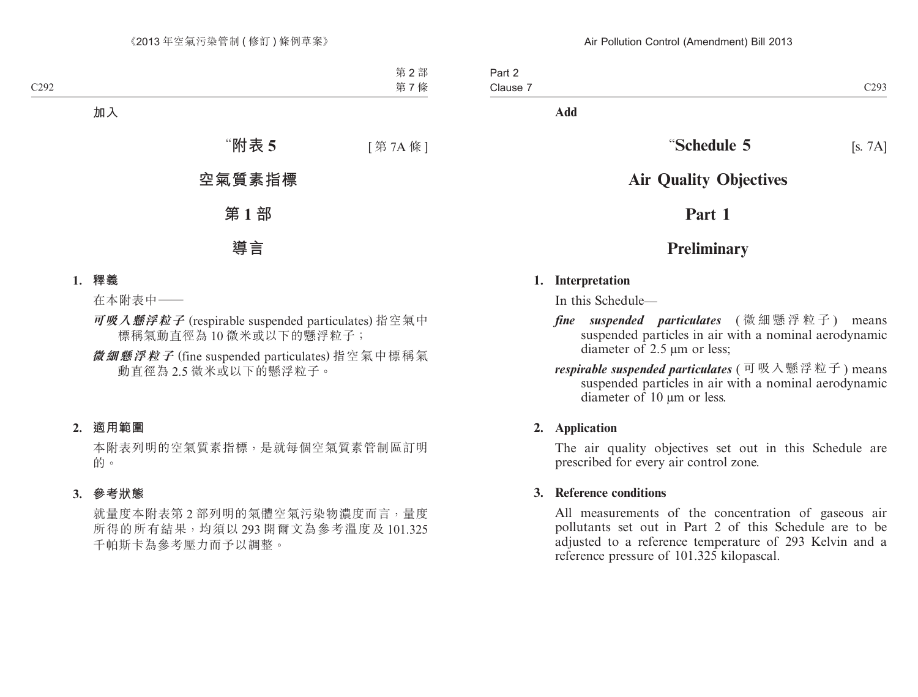Part 2 Clause 7 C293

**Add**

# **"Schedule 5** [s. 7A]

# **Air Quality Objectives**

# **Part 1**

# **Preliminary**

#### **1. Interpretation**

In this Schedule—

- *fine suspended particulates* ( 微 細 懸 浮 粒 子 ) means suspended particles in air with a nominal aerodynamic diameter of 2.5 μm or less;
- *respirable suspended particulates* ( 可吸入懸浮粒子 ) means suspended particles in air with a nominal aerodynamic diameter of 10 μm or less.

## **2. Application**

The air quality objectives set out in this Schedule are prescribed for every air control zone.

## **3. Reference conditions**

All measurements of the concentration of gaseous air pollutants set out in Part 2 of this Schedule are to be adjusted to a reference temperature of 293 Kelvin and a reference pressure of 101.325 kilopascal.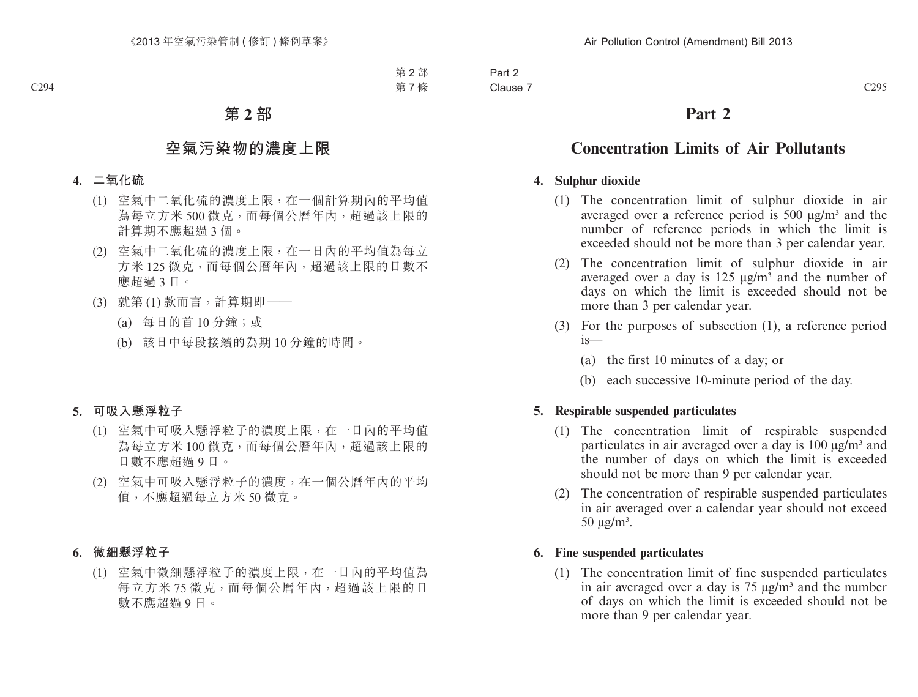# **Part 2**

# **Concentration Limits of Air Pollutants**

# **4. Sulphur dioxide**

- (1) The concentration limit of sulphur dioxide in air averaged over a reference period is  $500 \mu g/m<sup>3</sup>$  and the number of reference periods in which the limit is exceeded should not be more than 3 per calendar year.
- (2) The concentration limit of sulphur dioxide in air averaged over a day is 125  $\mu$ g/m<sup>3</sup> and the number of days on which the limit is exceeded should not be more than 3 per calendar year.
- (3) For the purposes of subsection (1), a reference period is—
	- (a) the first 10 minutes of a day; or
	- (b) each successive 10-minute period of the day.

## **5. Respirable suspended particulates**

- (1) The concentration limit of respirable suspended particulates in air averaged over a day is 100  $\mu$ g/m<sup>3</sup> and the number of days on which the limit is exceeded should not be more than 9 per calendar year.
- (2) The concentration of respirable suspended particulates in air averaged over a calendar year should not exceed  $50 \mu g/m<sup>3</sup>$ .

## **6. Fine suspended particulates**

(1) The concentration limit of fine suspended particulates in air averaged over a day is  $75 \mu g/m<sup>3</sup>$  and the number of days on which the limit is exceeded should not be more than 9 per calendar year.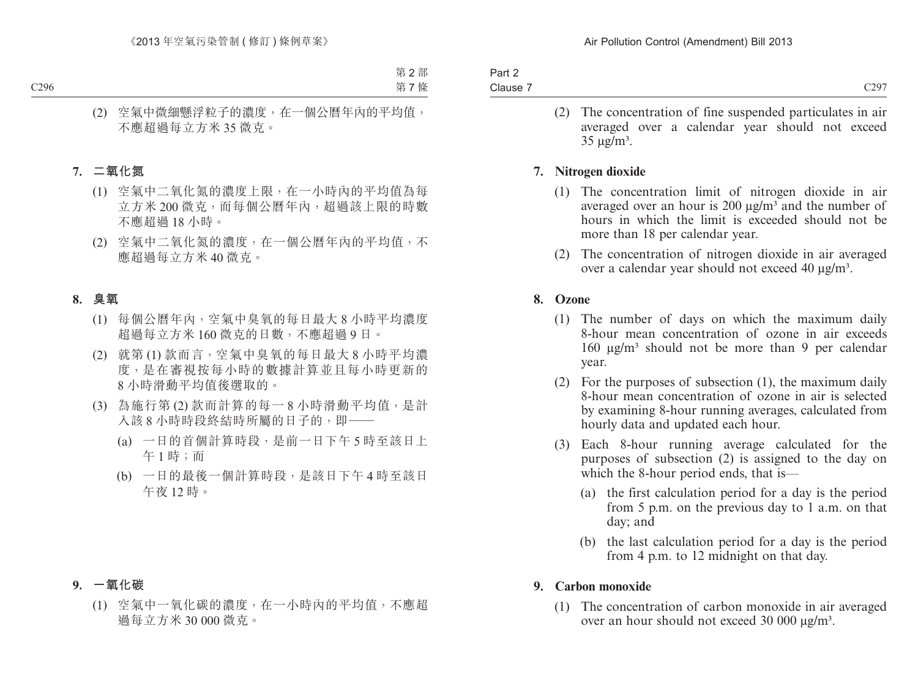| Clause 7 |  |
|----------|--|

(2) The concentration of fine suspended particulates in air averaged over a calendar year should not exceed  $35 \text{ µg/m}^3$ .

# **7. Nitrogen dioxide**

- (1) The concentration limit of nitrogen dioxide in air averaged over an hour is 200  $\mu$ g/m<sup>3</sup> and the number of hours in which the limit is exceeded should not be more than 18 per calendar year.
- (2) The concentration of nitrogen dioxide in air averaged over a calendar year should not exceed 40 μg/m³.

# **8. Ozone**

- (1) The number of days on which the maximum daily 8-hour mean concentration of ozone in air exceeds  $160 \text{ μg/m}$ <sup>3</sup> should not be more than 9 per calendar year.
- (2) For the purposes of subsection (1), the maximum daily 8-hour mean concentration of ozone in air is selected by examining 8-hour running averages, calculated from hourly data and updated each hour.
- (3) Each 8-hour running average calculated for the purposes of subsection (2) is assigned to the day on which the 8-hour period ends, that is—
	- (a) the first calculation period for a day is the period from 5 p.m. on the previous day to 1 a.m. on that day; and
	- (b) the last calculation period for a day is the period from 4 p.m. to 12 midnight on that day.

## **9. Carbon monoxide**

(1) The concentration of carbon monoxide in air averaged over an hour should not exceed 30 000 μg/m<sup>3</sup>.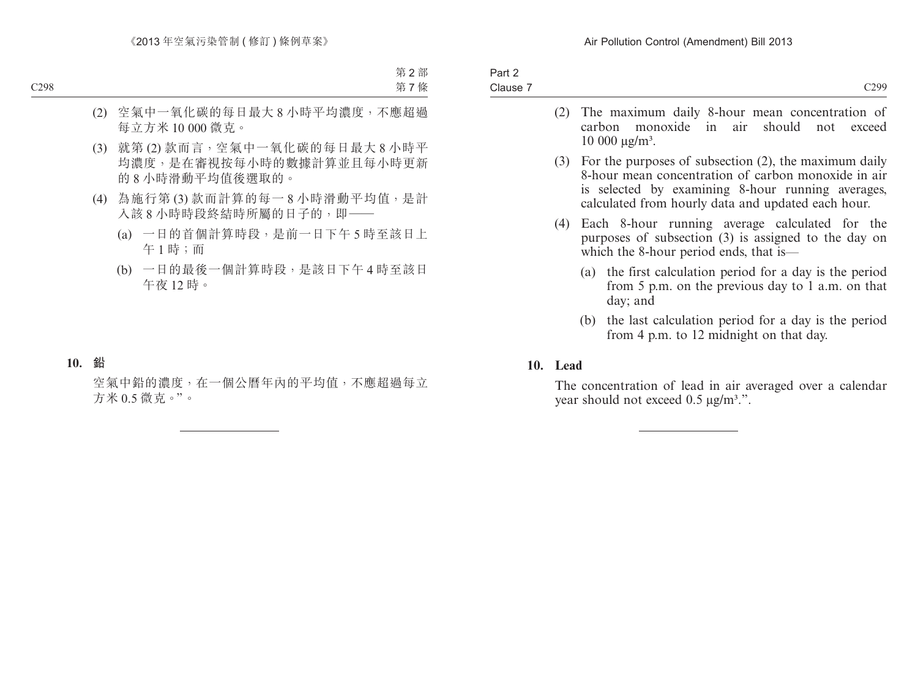| Part 2<br>Clause 7 |  | C299                                                                                                                                                                                                                             |
|--------------------|--|----------------------------------------------------------------------------------------------------------------------------------------------------------------------------------------------------------------------------------|
|                    |  | (2) The maximum daily 8-hour mean concentration of<br>carbon monoxide in air should not exceed<br>$10\ 000\ \mu g/m^3$ .                                                                                                         |
|                    |  | $(3)$ For the purposes of subsection $(2)$ , the maximum daily<br>8-hour mean concentration of carbon monoxide in air<br>is selected by examining 8-hour running averages,<br>calculated from hourly data and updated each hour. |
| (4)                |  | Each 8-hour running average calculated for the<br>purposes of subsection (3) is assigned to the day on<br>which the 8-hour period ends, that is—                                                                                 |
|                    |  | (a) the first calculation period for a day is the period<br>from 5 p.m. on the previous day to 1 a.m. on that<br>day; and                                                                                                        |
|                    |  | (b) the last calculation period for a day is the period<br>from 4 p.m. to 12 midnight on that day.                                                                                                                               |

## **10. Lead**

The concentration of lead in air averaged over a calendar year should not exceed  $0.5 \mu g/m^3$ .".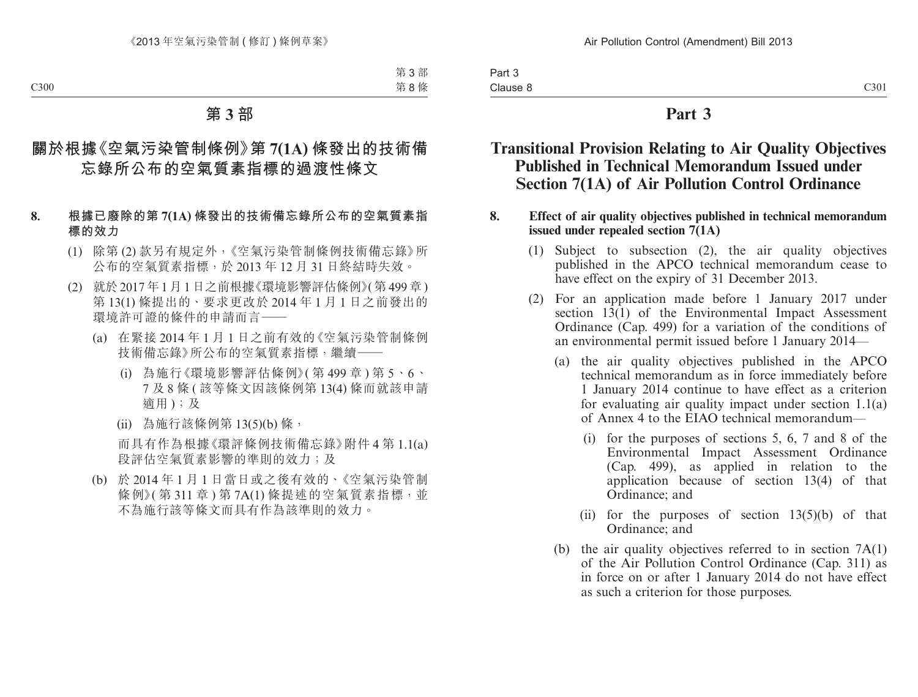Part 3 Clause 8

# **Part 3**

# **Transitional Provision Relating to Air Quality Objectives Published in Technical Memorandum Issued under Section 7(1A) of Air Pollution Control Ordinance**

#### **8. Effect of air quality objectives published in technical memorandum issued under repealed section 7(1A)**

- (1) Subject to subsection (2), the air quality objectives published in the APCO technical memorandum cease to have effect on the expiry of 31 December 2013.
- (2) For an application made before 1 January 2017 under section  $13(1)$  of the Environmental Impact Assessment Ordinance (Cap. 499) for a variation of the conditions of an environmental permit issued before 1 January 2014—
	- (a) the air quality objectives published in the APCO technical memorandum as in force immediately before 1 January 2014 continue to have effect as a criterion for evaluating air quality impact under section 1.1(a) of Annex 4 to the EIAO technical memorandum—
		- (i) for the purposes of sections 5, 6, 7 and 8 of the Environmental Impact Assessment Ordinance<br>(Cap. 499), as applied in relation to the (Cap. 499), as applied in relation to the application because of section 13(4) of that Ordinance; and
		- (ii) for the purposes of section  $13(5)(b)$  of that Ordinance; and
	- (b) the air quality objectives referred to in section 7A(1) of the Air Pollution Control Ordinance (Cap. 311) as in force on or after 1 January 2014 do not have effect as such a criterion for those purposes.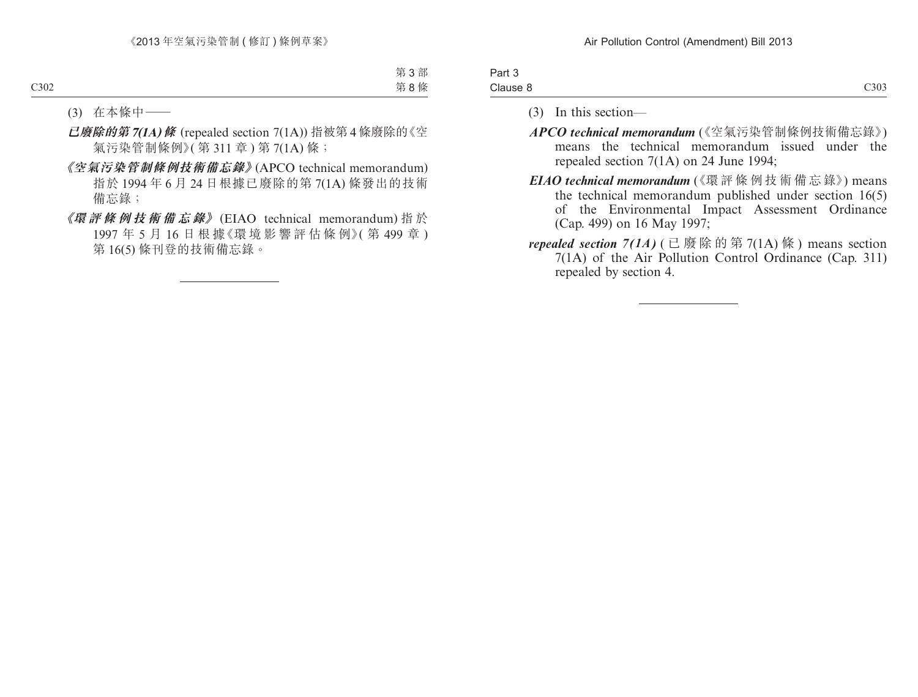| Part 3   |                  |
|----------|------------------|
| Clause 8 | C <sub>303</sub> |

- (3) In this section—
- APCO technical memorandum (《空氣污染管制條例技術備忘錄》) means the technical memorandum issued under the repealed section 7(1A) on 24 June 1994;
- EIAO technical memorandum (《環 評 條 例 技 術 備 忘 錄》) means the technical memorandum published under section 16(5) of the Environmental Impact Assessment Ordinance (Cap. 499) on 16 May 1997;
- *repealed section 7(1A)* ( 已 廢 除 的 第 7(1A) 條 ) means section 7(1A) of the Air Pollution Control Ordinance (Cap. 311) repealed by section 4.